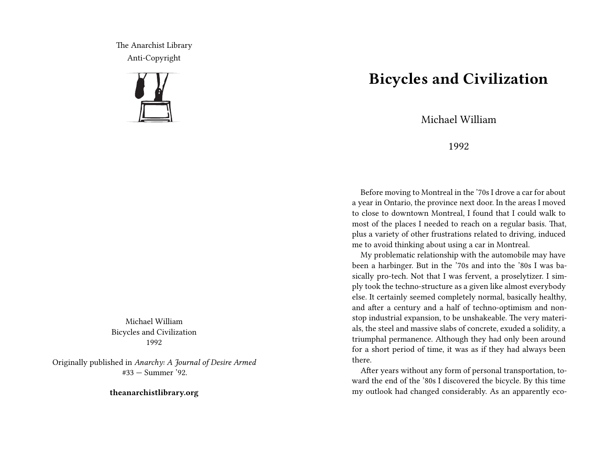The Anarchist Library Anti-Copyright



Michael William Bicycles and Civilization 1992

Originally published in *Anarchy: A Journal of Desire Armed* #33 — Summer '92.

**theanarchistlibrary.org**

## **Bicycles and Civilization**

Michael William

1992

Before moving to Montreal in the '70s I drove a car for about a year in Ontario, the province next door. In the areas I moved to close to downtown Montreal, I found that I could walk to most of the places I needed to reach on a regular basis. That, plus a variety of other frustrations related to driving, induced me to avoid thinking about using a car in Montreal.

My problematic relationship with the automobile may have been a harbinger. But in the '70s and into the '80s I was basically pro-tech. Not that I was fervent, a proselytizer. I simply took the techno-structure as a given like almost everybody else. It certainly seemed completely normal, basically healthy, and after a century and a half of techno-optimism and nonstop industrial expansion, to be unshakeable. The very materials, the steel and massive slabs of concrete, exuded a solidity, a triumphal permanence. Although they had only been around for a short period of time, it was as if they had always been there.

After years without any form of personal transportation, toward the end of the '80s I discovered the bicycle. By this time my outlook had changed considerably. As an apparently eco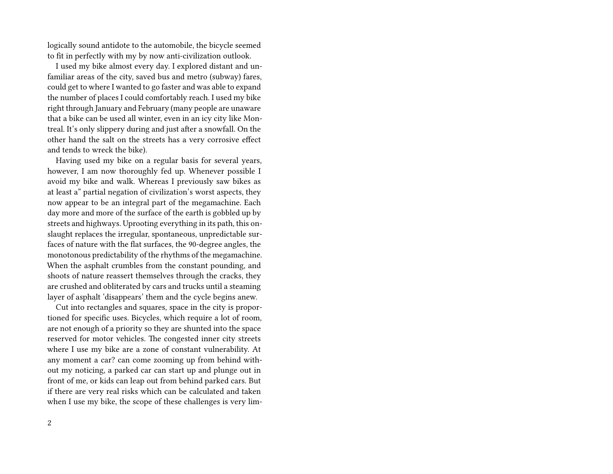logically sound antidote to the automobile, the bicycle seemed to fit in perfectly with my by now anti-civilization outlook.

I used my bike almost every day. I explored distant and unfamiliar areas of the city, saved bus and metro (subway) fares, could get to where I wanted to go faster and was able to expand the number of places I could comfortably reach. I used my bike right through January and February (many people are unaware that a bike can be used all winter, even in an icy city like Montreal. It's only slippery during and just after a snowfall. On the other hand the salt on the streets has a very corrosive effect and tends to wreck the bike).

Having used my bike on a regular basis for several years, however, I am now thoroughly fed up. Whenever possible I avoid my bike and walk. Whereas I previously saw bikes as at least a" partial negation of civilization's worst aspects, they now appear to be an integral part of the megamachine. Each day more and more of the surface of the earth is gobbled up by streets and highways. Uprooting everything in its path, this onslaught replaces the irregular, spontaneous, unpredictable surfaces of nature with the flat surfaces, the 90-degree angles, the monotonous predictability of the rhythms of the megamachine. When the asphalt crumbles from the constant pounding, and shoots of nature reassert themselves through the cracks, they are crushed and obliterated by cars and trucks until a steaming layer of asphalt 'disappears' them and the cycle begins anew.

Cut into rectangles and squares, space in the city is proportioned for specific uses. Bicycles, which require a lot of room, are not enough of a priority so they are shunted into the space reserved for motor vehicles. The congested inner city streets where I use my bike are a zone of constant vulnerability. At any moment a car? can come zooming up from behind without my noticing, a parked car can start up and plunge out in front of me, or kids can leap out from behind parked cars. But if there are very real risks which can be calculated and taken when I use my bike, the scope of these challenges is very lim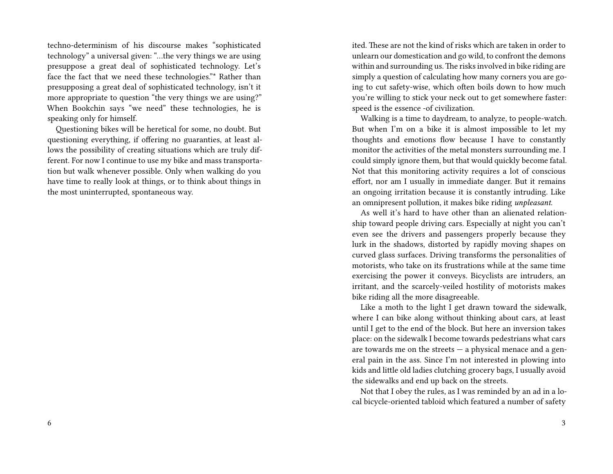techno-determinism of his discourse makes "sophisticated technology" a universal given: "…the very things we are using presuppose a great deal of sophisticated technology. Let's face the fact that we need these technologies."\* Rather than presupposing a great deal of sophisticated technology, isn't it more appropriate to question "the very things we are using?" When Bookchin says "we need" these technologies, he is speaking only for himself.

Questioning bikes will be heretical for some, no doubt. But questioning everything, if offering no guaranties, at least allows the possibility of creating situations which are truly different. For now I continue to use my bike and mass transportation but walk whenever possible. Only when walking do you have time to really look at things, or to think about things in the most uninterrupted, spontaneous way.

ited. These are not the kind of risks which are taken in order to unlearn our domestication and go wild, to confront the demons within and surrounding us. The risks involved in bike riding are simply a question of calculating how many corners you are going to cut safety-wise, which often boils down to how much you're willing to stick your neck out to get somewhere faster: speed is the essence -of civilization.

Walking is a time to daydream, to analyze, to people-watch. But when I'm on a bike it is almost impossible to let my thoughts and emotions flow because I have to constantly monitor the activities of the metal monsters surrounding me. I could simply ignore them, but that would quickly become fatal. Not that this monitoring activity requires a lot of conscious effort, nor am I usually in immediate danger. But it remains an ongoing irritation because it is constantly intruding. Like an omnipresent pollution, it makes bike riding *unpleasant*.

As well it's hard to have other than an alienated relationship toward people driving cars. Especially at night you can't even see the drivers and passengers properly because they lurk in the shadows, distorted by rapidly moving shapes on curved glass surfaces. Driving transforms the personalities of motorists, who take on its frustrations while at the same time exercising the power it conveys. Bicyclists are intruders, an irritant, and the scarcely-veiled hostility of motorists makes bike riding all the more disagreeable.

Like a moth to the light I get drawn toward the sidewalk, where I can bike along without thinking about cars, at least until I get to the end of the block. But here an inversion takes place: on the sidewalk I become towards pedestrians what cars are towards me on the streets — a physical menace and a general pain in the ass. Since I'm not interested in plowing into kids and little old ladies clutching grocery bags, I usually avoid the sidewalks and end up back on the streets.

Not that I obey the rules, as I was reminded by an ad in a local bicycle-oriented tabloid which featured a number of safety